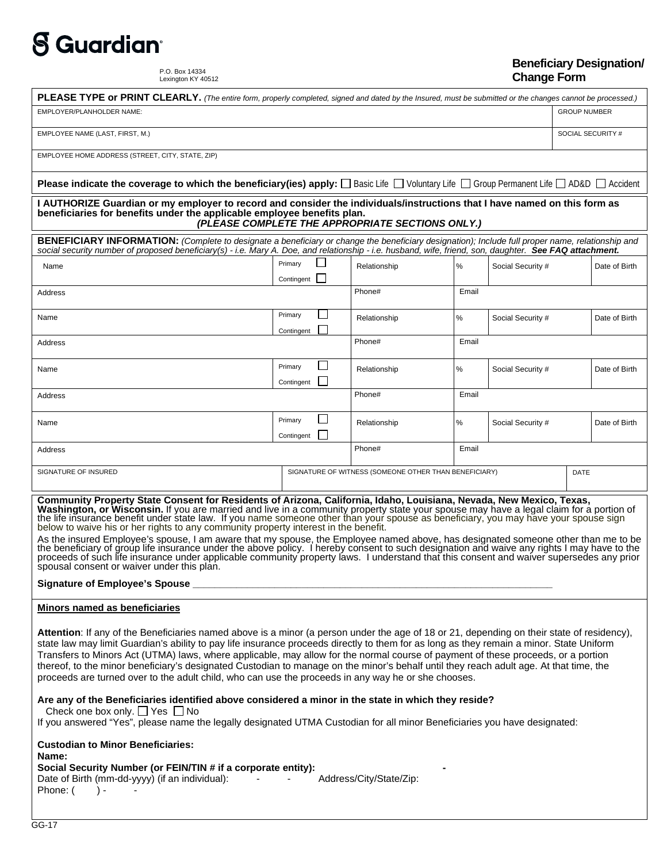## **S** Guardian®

P.O. Box 14334 Lexington KY 40512

## **Beneficiary Designation/ Change Form**

| PLEASE TYPE or PRINT CLEARLY. (The entire form, properly completed, signed and dated by the Insured, must be submitted or the changes cannot be processed.)                                                                                                                                                                                                                                                                                                                                                                                                                                                                                                                                                                                                                                                                                                                                                                                                                                                                                                                                                                                                                                               |                       |                                          |                                                       |       |                   |                     |               |  |
|-----------------------------------------------------------------------------------------------------------------------------------------------------------------------------------------------------------------------------------------------------------------------------------------------------------------------------------------------------------------------------------------------------------------------------------------------------------------------------------------------------------------------------------------------------------------------------------------------------------------------------------------------------------------------------------------------------------------------------------------------------------------------------------------------------------------------------------------------------------------------------------------------------------------------------------------------------------------------------------------------------------------------------------------------------------------------------------------------------------------------------------------------------------------------------------------------------------|-----------------------|------------------------------------------|-------------------------------------------------------|-------|-------------------|---------------------|---------------|--|
| EMPLOYER/PLANHOLDER NAME:                                                                                                                                                                                                                                                                                                                                                                                                                                                                                                                                                                                                                                                                                                                                                                                                                                                                                                                                                                                                                                                                                                                                                                                 |                       |                                          |                                                       |       |                   | <b>GROUP NUMBER</b> |               |  |
| EMPLOYEE NAME (LAST, FIRST, M.)                                                                                                                                                                                                                                                                                                                                                                                                                                                                                                                                                                                                                                                                                                                                                                                                                                                                                                                                                                                                                                                                                                                                                                           |                       |                                          |                                                       |       |                   | SOCIAL SECURITY #   |               |  |
| EMPLOYEE HOME ADDRESS (STREET, CITY, STATE, ZIP)                                                                                                                                                                                                                                                                                                                                                                                                                                                                                                                                                                                                                                                                                                                                                                                                                                                                                                                                                                                                                                                                                                                                                          |                       |                                          |                                                       |       |                   |                     |               |  |
| <b>Please indicate the coverage to which the beneficiary(ies) apply:</b> $\Box$ Basic Life $\Box$ Voluntary Life $\Box$ Group Permanent Life $\Box$ AD&D $\Box$ Accident                                                                                                                                                                                                                                                                                                                                                                                                                                                                                                                                                                                                                                                                                                                                                                                                                                                                                                                                                                                                                                  |                       |                                          |                                                       |       |                   |                     |               |  |
| I AUTHORIZE Guardian or my employer to record and consider the individuals/instructions that I have named on this form as<br>beneficiaries for benefits under the applicable employee benefits plan.<br>(PLEASE COMPLETE THE APPROPRIATE SECTIONS ONLY.)                                                                                                                                                                                                                                                                                                                                                                                                                                                                                                                                                                                                                                                                                                                                                                                                                                                                                                                                                  |                       |                                          |                                                       |       |                   |                     |               |  |
| BENEFICIARY INFORMATION: (Complete to designate a beneficiary or change the beneficiary designation); Include full proper name, relationship and<br>social security number of proposed beneficiary(s) - i.e. Mary A. Doe, and relationship - i.e. husband, wife, friend, son, daughter. See FAQ attachment.                                                                                                                                                                                                                                                                                                                                                                                                                                                                                                                                                                                                                                                                                                                                                                                                                                                                                               |                       |                                          |                                                       |       |                   |                     |               |  |
| Name                                                                                                                                                                                                                                                                                                                                                                                                                                                                                                                                                                                                                                                                                                                                                                                                                                                                                                                                                                                                                                                                                                                                                                                                      | Primary<br>Contingent |                                          | Relationship                                          | %     | Social Security # |                     | Date of Birth |  |
| Address                                                                                                                                                                                                                                                                                                                                                                                                                                                                                                                                                                                                                                                                                                                                                                                                                                                                                                                                                                                                                                                                                                                                                                                                   |                       |                                          | Phone#                                                | Email |                   |                     |               |  |
| Name                                                                                                                                                                                                                                                                                                                                                                                                                                                                                                                                                                                                                                                                                                                                                                                                                                                                                                                                                                                                                                                                                                                                                                                                      | Primary               | $\mathbf{L}$                             | Relationship                                          | %     | Social Security # |                     | Date of Birth |  |
| Address                                                                                                                                                                                                                                                                                                                                                                                                                                                                                                                                                                                                                                                                                                                                                                                                                                                                                                                                                                                                                                                                                                                                                                                                   | Contingent            |                                          | Phone#                                                | Email |                   |                     |               |  |
| Name                                                                                                                                                                                                                                                                                                                                                                                                                                                                                                                                                                                                                                                                                                                                                                                                                                                                                                                                                                                                                                                                                                                                                                                                      | Primary<br>Contingent | П                                        | Relationship                                          | ℅     | Social Security # |                     | Date of Birth |  |
| Address                                                                                                                                                                                                                                                                                                                                                                                                                                                                                                                                                                                                                                                                                                                                                                                                                                                                                                                                                                                                                                                                                                                                                                                                   |                       |                                          | Phone#                                                | Email |                   |                     |               |  |
| Name                                                                                                                                                                                                                                                                                                                                                                                                                                                                                                                                                                                                                                                                                                                                                                                                                                                                                                                                                                                                                                                                                                                                                                                                      | Primary<br>Contingent | $\overline{\phantom{a}}$<br>$\mathsf{L}$ | Relationship                                          | ℅     | Social Security # |                     | Date of Birth |  |
| Address                                                                                                                                                                                                                                                                                                                                                                                                                                                                                                                                                                                                                                                                                                                                                                                                                                                                                                                                                                                                                                                                                                                                                                                                   |                       |                                          | Phone#                                                | Email |                   |                     |               |  |
| SIGNATURE OF INSURED                                                                                                                                                                                                                                                                                                                                                                                                                                                                                                                                                                                                                                                                                                                                                                                                                                                                                                                                                                                                                                                                                                                                                                                      |                       |                                          | SIGNATURE OF WITNESS (SOMEONE OTHER THAN BENEFICIARY) |       | <b>DATE</b>       |                     |               |  |
| Community Property State Consent for Residents of Arizona, California, Idaho, Louisiana, Nevada, New Mexico, Texas,<br>Washington, or Wisconsin. If you are married and live in a community property state your spouse may have a legal claim for a portion of<br>the life insurance benefit under state law. If you name someone other than your spouse as beneficiary, you may have your spouse sign<br>below to waive his or her rights to any community property interest in the benefit.<br>As the insured Employee's spouse, I am aware that my spouse, the Employee named above, has designated someone other than me to be<br>the beneficiary of group life insurance under the above policy. I hereby consent to such designation and waive any rights I may have to the<br>proceeds of such life insurance under applicable community property laws. I understand that this consent and waiver supersedes any prior<br>spousal consent or waiver under this plan.                                                                                                                                                                                                                               |                       |                                          |                                                       |       |                   |                     |               |  |
| Minors named as beneficiaries                                                                                                                                                                                                                                                                                                                                                                                                                                                                                                                                                                                                                                                                                                                                                                                                                                                                                                                                                                                                                                                                                                                                                                             |                       |                                          |                                                       |       |                   |                     |               |  |
| Attention: If any of the Beneficiaries named above is a minor (a person under the age of 18 or 21, depending on their state of residency),<br>state law may limit Guardian's ability to pay life insurance proceeds directly to them for as long as they remain a minor. State Uniform<br>Transfers to Minors Act (UTMA) laws, where applicable, may allow for the normal course of payment of these proceeds, or a portion<br>thereof, to the minor beneficiary's designated Custodian to manage on the minor's behalf until they reach adult age. At that time, the<br>proceeds are turned over to the adult child, who can use the proceeds in any way he or she chooses.<br>Are any of the Beneficiaries identified above considered a minor in the state in which they reside?<br>Check one box only. $\Box$ Yes $\Box$ No<br>If you answered "Yes", please name the legally designated UTMA Custodian for all minor Beneficiaries you have designated:<br><b>Custodian to Minor Beneficiaries:</b><br>Name:<br>Social Security Number (or FEIN/TIN # if a corporate entity):<br>Date of Birth (mm-dd-yyyy) (if an individual):<br><b>Contractor</b><br>Address/City/State/Zip:<br>Phone: (<br>$) -$ |                       |                                          |                                                       |       |                   |                     |               |  |
| GG-17                                                                                                                                                                                                                                                                                                                                                                                                                                                                                                                                                                                                                                                                                                                                                                                                                                                                                                                                                                                                                                                                                                                                                                                                     |                       |                                          |                                                       |       |                   |                     |               |  |